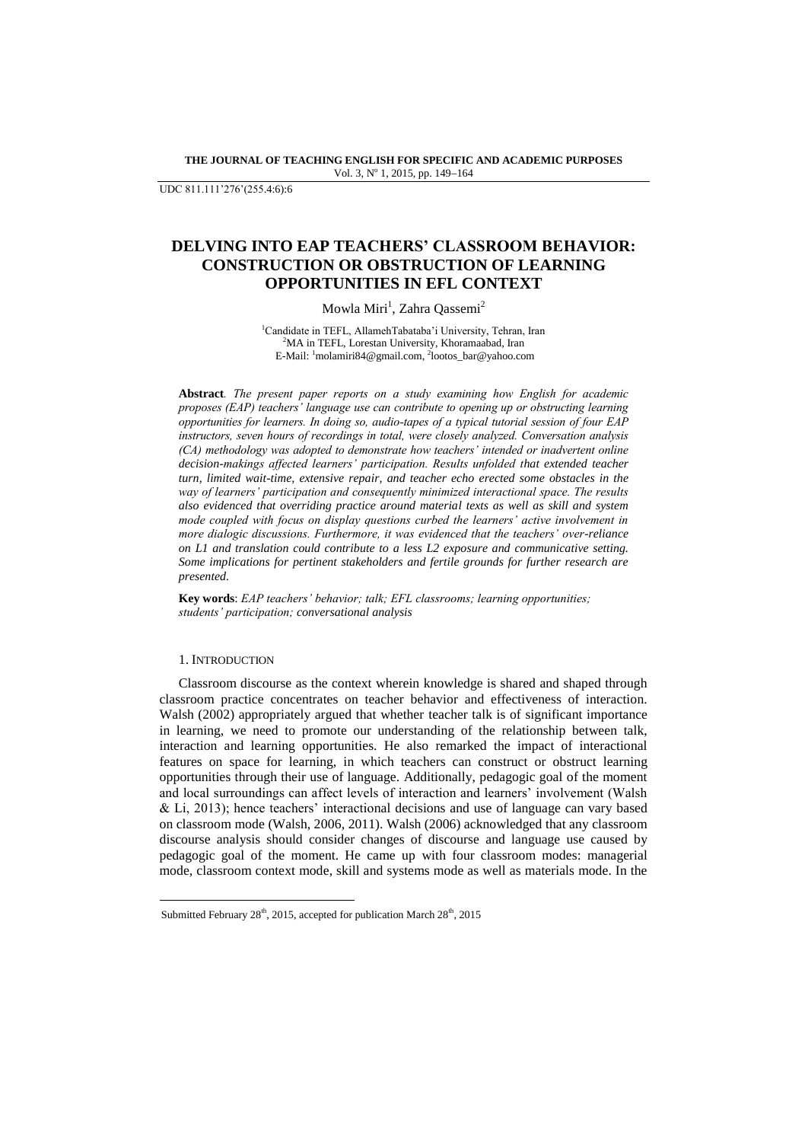**THE JOURNAL OF TEACHING ENGLISH FOR SPECIFIC AND ACADEMIC PURPOSES** Vol. 3, Nº 1, 2015, pp. 149-164

UDC 811.111"276"(255.4:6):6

# **DELVING INTO EAP TEACHERS' CLASSROOM BEHAVIOR: CONSTRUCTION OR OBSTRUCTION OF LEARNING OPPORTUNITIES IN EFL CONTEXT**

# Mowla Miri<sup>1</sup>, Zahra Qassemi<sup>2</sup>

<sup>1</sup>Candidate in TEFL, AllamehTabataba'i University, Tehran, Iran <sup>2</sup>MA in TEFL, Lorestan University, Khoramaabad, Iran E-Mail: <sup>1</sup>[molamiri84@gmail.com,](mailto:molamiri84@gmail.com) <sup>2</sup>lootos\_bar@yahoo.com

**Abstract***. The present paper reports on a study examining how English for academic proposes (EAP) teachers' language use can contribute to opening up or obstructing learning opportunities for learners. In doing so, audio-tapes of a typical tutorial session of four EAP instructors, seven hours of recordings in total, were closely analyzed. Conversation analysis (CA) methodology was adopted to demonstrate how teachers' intended or inadvertent online decision-makings affected learners' participation. Results unfolded that extended teacher turn, limited wait-time, extensive repair, and teacher echo erected some obstacles in the way of learners' participation and consequently minimized interactional space. The results also evidenced that overriding practice around material texts as well as skill and system mode coupled with focus on display questions curbed the learners' active involvement in more dialogic discussions. Furthermore, it was evidenced that the teachers' over-reliance on L1 and translation could contribute to a less L2 exposure and communicative setting. Some implications for pertinent stakeholders and fertile grounds for further research are presented.* 

**Key words**: *EAP teachers' behavior; talk; EFL classrooms; learning opportunities; students' participation; conversational analysis*

# 1. INTRODUCTION

 $\overline{a}$ 

Classroom discourse as the context wherein knowledge is shared and shaped through classroom practice concentrates on teacher behavior and effectiveness of interaction. Walsh (2002) appropriately argued that whether teacher talk is of significant importance in learning, we need to promote our understanding of the relationship between talk, interaction and learning opportunities. He also remarked the impact of interactional features on space for learning, in which teachers can construct or obstruct learning opportunities through their use of language. Additionally, pedagogic goal of the moment and local surroundings can affect levels of interaction and learners' involvement (Walsh & Li, 2013); hence teachers" interactional decisions and use of language can vary based on classroom mode (Walsh, 2006, 2011). Walsh (2006) acknowledged that any classroom discourse analysis should consider changes of discourse and language use caused by pedagogic goal of the moment. He came up with four classroom modes: managerial mode, classroom context mode, skill and systems mode as well as materials mode. In the

Submitted February  $28<sup>th</sup>$ , 2015, accepted for publication March  $28<sup>th</sup>$ , 2015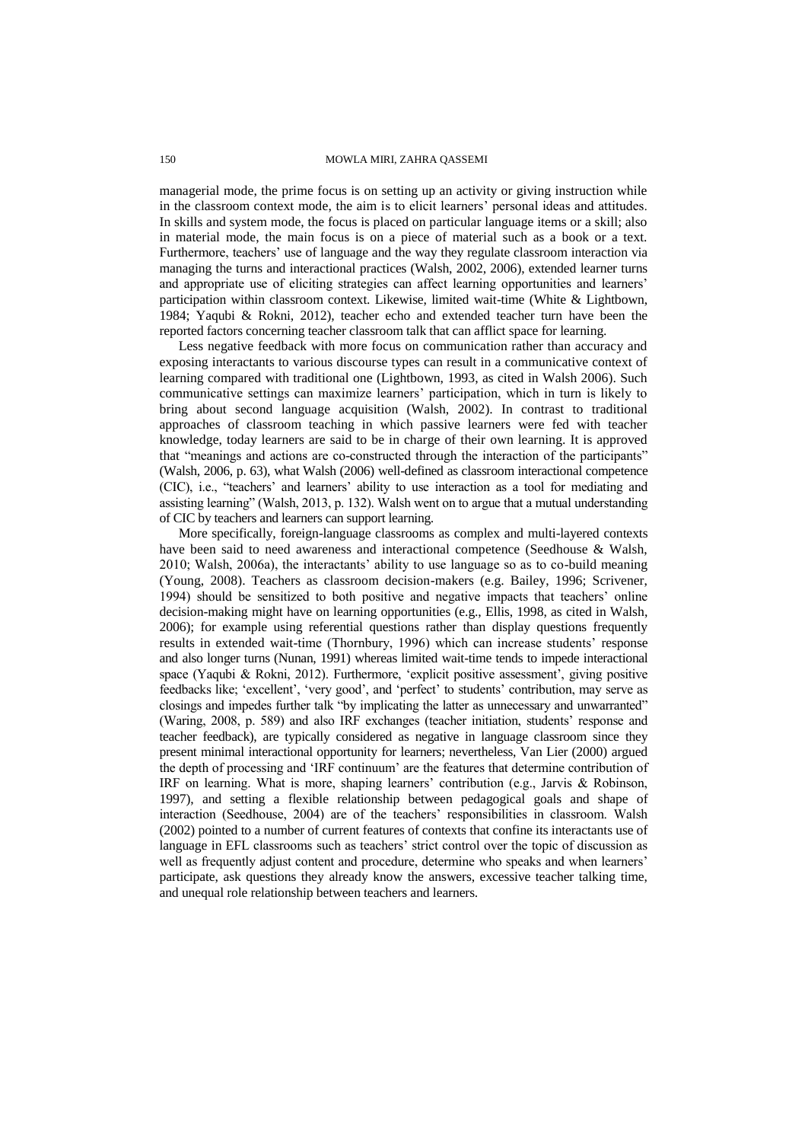managerial mode, the prime focus is on setting up an activity or giving instruction while in the classroom context mode, the aim is to elicit learners' personal ideas and attitudes. In skills and system mode, the focus is placed on particular language items or a skill; also in material mode, the main focus is on a piece of material such as a book or a text. Furthermore, teachers' use of language and the way they regulate classroom interaction via managing the turns and interactional practices (Walsh, 2002, 2006), extended learner turns and appropriate use of eliciting strategies can affect learning opportunities and learners' participation within classroom context. Likewise, limited wait-time (White & Lightbown, 1984; Yaqubi & Rokni, 2012), teacher echo and extended teacher turn have been the reported factors concerning teacher classroom talk that can afflict space for learning.

Less negative feedback with more focus on communication rather than accuracy and exposing interactants to various discourse types can result in a communicative context of learning compared with traditional one (Lightbown, 1993, as cited in Walsh 2006). Such communicative settings can maximize learners" participation, which in turn is likely to bring about second language acquisition (Walsh, 2002). In contrast to traditional approaches of classroom teaching in which passive learners were fed with teacher knowledge, today learners are said to be in charge of their own learning. It is approved that "meanings and actions are co-constructed through the interaction of the participants" (Walsh, 2006, p. 63), what Walsh (2006) well-defined as classroom interactional competence (CIC), i.e., "teachers" and learners" ability to use interaction as a tool for mediating and assisting learning" (Walsh, 2013, p. 132). Walsh went on to argue that a mutual understanding of CIC by teachers and learners can support learning.

More specifically, foreign-language classrooms as complex and multi-layered contexts have been said to need awareness and interactional competence (Seedhouse & Walsh, 2010; Walsh, 2006a), the interactants" ability to use language so as to co-build meaning (Young, 2008). Teachers as classroom decision-makers (e.g. Bailey, 1996; Scrivener, 1994) should be sensitized to both positive and negative impacts that teachers" online decision-making might have on learning opportunities (e.g., Ellis, 1998, as cited in Walsh, 2006); for example using referential questions rather than display questions frequently results in extended wait-time (Thornbury, 1996) which can increase students" response and also longer turns (Nunan, 1991) whereas limited wait-time tends to impede interactional space (Yaqubi & Rokni, 2012). Furthermore, 'explicit positive assessment', giving positive feedbacks like; 'excellent', 'very good', and 'perfect' to students' contribution, may serve as closings and impedes further talk "by implicating the latter as unnecessary and unwarranted" (Waring, 2008, p. 589) and also IRF exchanges (teacher initiation, students' response and teacher feedback), are typically considered as negative in language classroom since they present minimal interactional opportunity for learners; nevertheless, Van Lier (2000) argued the depth of processing and "IRF continuum" are the features that determine contribution of IRF on learning. What is more, shaping learners' contribution (e.g., Jarvis & Robinson, 1997), and setting a flexible relationship between pedagogical goals and shape of interaction (Seedhouse, 2004) are of the teachers' responsibilities in classroom. Walsh (2002) pointed to a number of current features of contexts that confine its interactants use of language in EFL classrooms such as teachers' strict control over the topic of discussion as well as frequently adjust content and procedure, determine who speaks and when learners' participate, ask questions they already know the answers, excessive teacher talking time, and unequal role relationship between teachers and learners.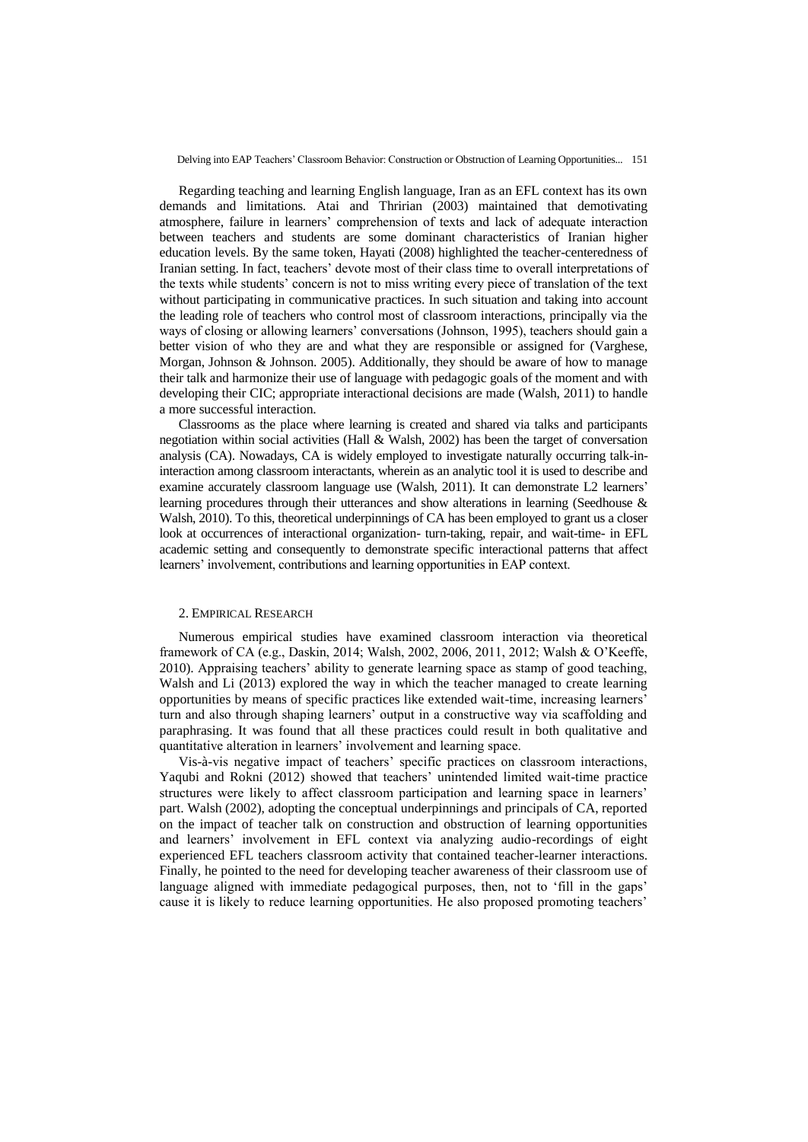Regarding teaching and learning English language, Iran as an EFL context has its own demands and limitations. Atai and Thririan (2003) maintained that demotivating atmosphere, failure in learners" comprehension of texts and lack of adequate interaction between teachers and students are some dominant characteristics of Iranian higher education levels. By the same token, Hayati (2008) highlighted the teacher-centeredness of Iranian setting. In fact, teachers' devote most of their class time to overall interpretations of the texts while students" concern is not to miss writing every piece of translation of the text without participating in communicative practices. In such situation and taking into account the leading role of teachers who control most of classroom interactions, principally via the ways of closing or allowing learners" conversations (Johnson, 1995), teachers should gain a better vision of who they are and what they are responsible or assigned for (Varghese, Morgan, Johnson & Johnson. 2005). Additionally, they should be aware of how to manage their talk and harmonize their use of language with pedagogic goals of the moment and with developing their CIC; appropriate interactional decisions are made (Walsh, 2011) to handle a more successful interaction.

Classrooms as the place where learning is created and shared via talks and participants negotiation within social activities (Hall  $\&$  Walsh, 2002) has been the target of conversation analysis (CA). Nowadays, CA is widely employed to investigate naturally occurring talk-ininteraction among classroom interactants, wherein as an analytic tool it is used to describe and examine accurately classroom language use (Walsh, 2011). It can demonstrate L2 learners" learning procedures through their utterances and show alterations in learning (Seedhouse & Walsh, 2010). To this, theoretical underpinnings of CA has been employed to grant us a closer look at occurrences of interactional organization- turn-taking, repair, and wait-time- in EFL academic setting and consequently to demonstrate specific interactional patterns that affect learners' involvement, contributions and learning opportunities in EAP context.

#### 2. EMPIRICAL RESEARCH

Numerous empirical studies have examined classroom interaction via theoretical framework of CA (e.g., Daskin, 2014; Walsh, 2002, 2006, 2011, 2012; Walsh & O"Keeffe, 2010). Appraising teachers" ability to generate learning space as stamp of good teaching, Walsh and Li (2013) explored the way in which the teacher managed to create learning opportunities by means of specific practices like extended wait-time, increasing learners" turn and also through shaping learners" output in a constructive way via scaffolding and paraphrasing. It was found that all these practices could result in both qualitative and quantitative alteration in learners" involvement and learning space.

Vis-à-vis negative impact of teachers" specific practices on classroom interactions, Yaqubi and Rokni (2012) showed that teachers' unintended limited wait-time practice structures were likely to affect classroom participation and learning space in learners' part. Walsh (2002), adopting the conceptual underpinnings and principals of CA, reported on the impact of teacher talk on construction and obstruction of learning opportunities and learners" involvement in EFL context via analyzing audio-recordings of eight experienced EFL teachers classroom activity that contained teacher-learner interactions. Finally, he pointed to the need for developing teacher awareness of their classroom use of language aligned with immediate pedagogical purposes, then, not to 'fill in the gaps' cause it is likely to reduce learning opportunities. He also proposed promoting teachers"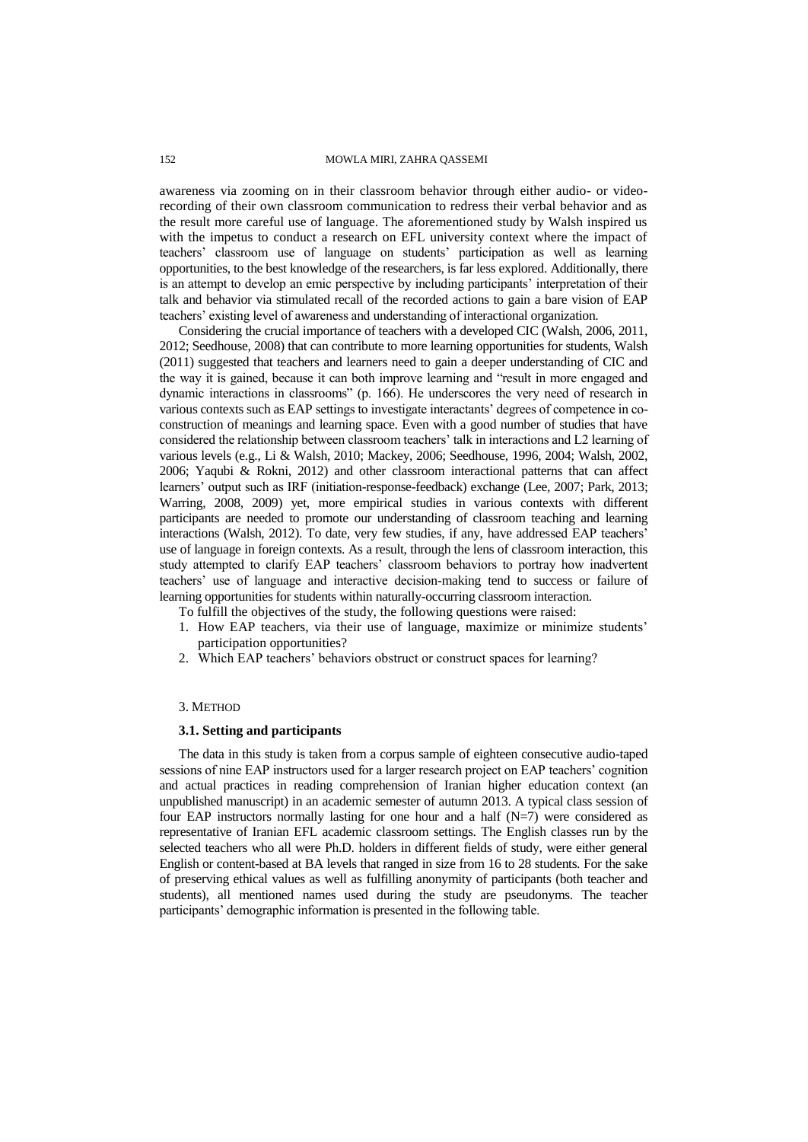awareness via zooming on in their classroom behavior through either audio- or videorecording of their own classroom communication to redress their verbal behavior and as the result more careful use of language. The aforementioned study by Walsh inspired us with the impetus to conduct a research on EFL university context where the impact of teachers" classroom use of language on students" participation as well as learning opportunities, to the best knowledge of the researchers, is far less explored. Additionally, there is an attempt to develop an emic perspective by including participants' interpretation of their talk and behavior via stimulated recall of the recorded actions to gain a bare vision of EAP teachers" existing level of awareness and understanding of interactional organization.

Considering the crucial importance of teachers with a developed CIC (Walsh, 2006, 2011, 2012; Seedhouse, 2008) that can contribute to more learning opportunities for students, Walsh (2011) suggested that teachers and learners need to gain a deeper understanding of CIC and the way it is gained, because it can both improve learning and "result in more engaged and dynamic interactions in classrooms" (p. 166). He underscores the very need of research in various contexts such as EAP settings to investigate interactants" degrees of competence in coconstruction of meanings and learning space. Even with a good number of studies that have considered the relationship between classroom teachers" talk in interactions and L2 learning of various levels (e.g., Li & Walsh, 2010; Mackey, 2006; Seedhouse, 1996, 2004; Walsh, 2002, 2006; Yaqubi & Rokni, 2012) and other classroom interactional patterns that can affect learners" output such as IRF (initiation-response-feedback) exchange (Lee, 2007; Park, 2013; Warring, 2008, 2009) yet, more empirical studies in various contexts with different participants are needed to promote our understanding of classroom teaching and learning interactions (Walsh, 2012). To date, very few studies, if any, have addressed EAP teachers' use of language in foreign contexts. As a result, through the lens of classroom interaction, this study attempted to clarify EAP teachers' classroom behaviors to portray how inadvertent teachers' use of language and interactive decision-making tend to success or failure of learning opportunities for students within naturally-occurring classroom interaction.

To fulfill the objectives of the study, the following questions were raised:

- 1. How EAP teachers, via their use of language, maximize or minimize students" participation opportunities?
- 2. Which EAP teachers' behaviors obstruct or construct spaces for learning?

## 3. METHOD

#### **3.1. Setting and participants**

The data in this study is taken from a corpus sample of eighteen consecutive audio-taped sessions of nine EAP instructors used for a larger research project on EAP teachers' cognition and actual practices in reading comprehension of Iranian higher education context (an unpublished manuscript) in an academic semester of autumn 2013. A typical class session of four EAP instructors normally lasting for one hour and a half (N=7) were considered as representative of Iranian EFL academic classroom settings. The English classes run by the selected teachers who all were Ph.D. holders in different fields of study, were either general English or content-based at BA levels that ranged in size from 16 to 28 students. For the sake of preserving ethical values as well as fulfilling anonymity of participants (both teacher and students), all mentioned names used during the study are pseudonyms. The teacher participants' demographic information is presented in the following table.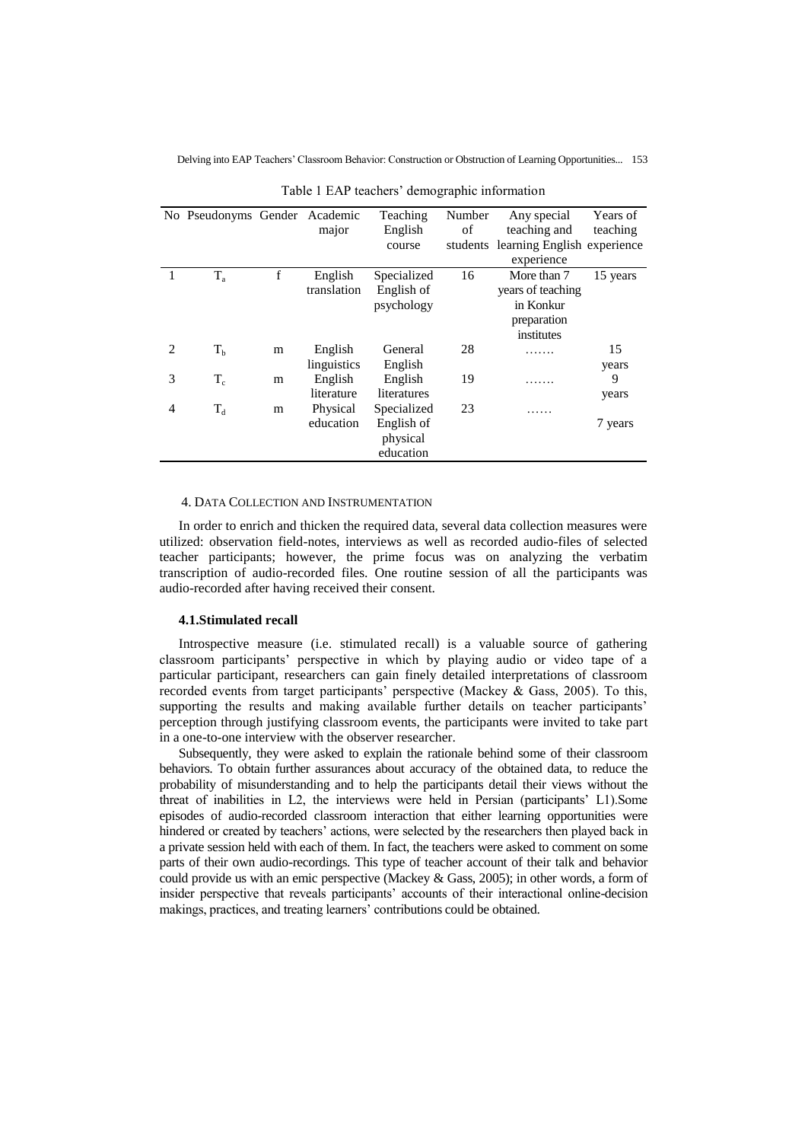|   | No Pseudonyms Gender Academic       |   | major                  | Teaching<br>English<br>course                      | Number<br>οf<br>students | Any special<br>teaching and<br>learning English experience                 | Years of<br>teaching |
|---|-------------------------------------|---|------------------------|----------------------------------------------------|--------------------------|----------------------------------------------------------------------------|----------------------|
|   |                                     |   |                        |                                                    |                          | experience                                                                 |                      |
|   | $T_{a}$                             | f | English<br>translation | Specialized<br>English of<br>psychology            | 16                       | More than 7<br>years of teaching<br>in Konkur<br>preparation<br>institutes | 15 years             |
| 2 | $T_{\rm b}$                         | m | English<br>linguistics | General<br>English                                 | 28                       | .                                                                          | 15<br>years          |
| 3 | $T_c$                               | m | English<br>literature  | English<br>literatures                             | 19                       |                                                                            | 9<br>years           |
| 4 | $\mathrm{T_{\scriptscriptstyle d}}$ | m | Physical<br>education  | Specialized<br>English of<br>physical<br>education | 23                       |                                                                            | 7 years              |

Table 1 EAP teachers' demographic information

### 4. DATA COLLECTION AND INSTRUMENTATION

In order to enrich and thicken the required data, several data collection measures were utilized: observation field-notes, interviews as well as recorded audio-files of selected teacher participants; however, the prime focus was on analyzing the verbatim transcription of audio-recorded files. One routine session of all the participants was audio-recorded after having received their consent.

# **4.1.Stimulated recall**

Introspective measure (i.e. stimulated recall) is a valuable source of gathering classroom participants" perspective in which by playing audio or video tape of a particular participant, researchers can gain finely detailed interpretations of classroom recorded events from target participants' perspective (Mackey & Gass, 2005). To this, supporting the results and making available further details on teacher participants' perception through justifying classroom events, the participants were invited to take part in a one-to-one interview with the observer researcher.

Subsequently, they were asked to explain the rationale behind some of their classroom behaviors. To obtain further assurances about accuracy of the obtained data, to reduce the probability of misunderstanding and to help the participants detail their views without the threat of inabilities in L2, the interviews were held in Persian (participants" L1).Some episodes of audio-recorded classroom interaction that either learning opportunities were hindered or created by teachers' actions, were selected by the researchers then played back in a private session held with each of them. In fact, the teachers were asked to comment on some parts of their own audio-recordings. This type of teacher account of their talk and behavior could provide us with an emic perspective (Mackey & Gass, 2005); in other words, a form of insider perspective that reveals participants" accounts of their interactional online-decision makings, practices, and treating learners' contributions could be obtained.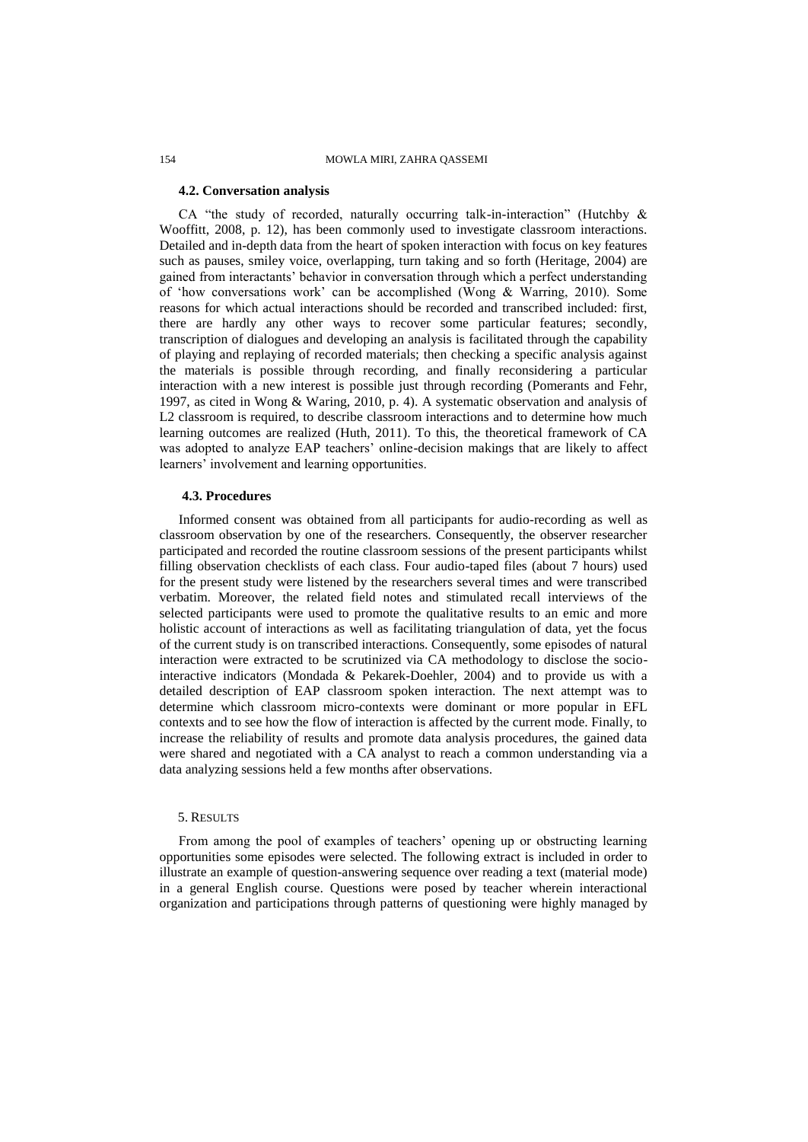# **4.2. Conversation analysis**

CA "the study of recorded, naturally occurring talk-in-interaction" (Hutchby & Wooffitt, 2008, p. 12), has been commonly used to investigate classroom interactions. Detailed and in-depth data from the heart of spoken interaction with focus on key features such as pauses, smiley voice, overlapping, turn taking and so forth (Heritage, 2004) are gained from interactants" behavior in conversation through which a perfect understanding of "how conversations work" can be accomplished (Wong & Warring, 2010). Some reasons for which actual interactions should be recorded and transcribed included: first, there are hardly any other ways to recover some particular features; secondly, transcription of dialogues and developing an analysis is facilitated through the capability of playing and replaying of recorded materials; then checking a specific analysis against the materials is possible through recording, and finally reconsidering a particular interaction with a new interest is possible just through recording (Pomerants and Fehr, 1997, as cited in Wong & Waring, 2010, p. 4). A systematic observation and analysis of L2 classroom is required, to describe classroom interactions and to determine how much learning outcomes are realized (Huth, 2011). To this, the theoretical framework of CA was adopted to analyze EAP teachers' online-decision makings that are likely to affect learners' involvement and learning opportunities.

## **4.3. Procedures**

Informed consent was obtained from all participants for audio-recording as well as classroom observation by one of the researchers. Consequently, the observer researcher participated and recorded the routine classroom sessions of the present participants whilst filling observation checklists of each class. Four audio-taped files (about 7 hours) used for the present study were listened by the researchers several times and were transcribed verbatim. Moreover, the related field notes and stimulated recall interviews of the selected participants were used to promote the qualitative results to an emic and more holistic account of interactions as well as facilitating triangulation of data, yet the focus of the current study is on transcribed interactions. Consequently, some episodes of natural interaction were extracted to be scrutinized via CA methodology to disclose the sociointeractive indicators (Mondada & Pekarek-Doehler, 2004) and to provide us with a detailed description of EAP classroom spoken interaction. The next attempt was to determine which classroom micro-contexts were dominant or more popular in EFL contexts and to see how the flow of interaction is affected by the current mode. Finally, to increase the reliability of results and promote data analysis procedures, the gained data were shared and negotiated with a CA analyst to reach a common understanding via a data analyzing sessions held a few months after observations.

#### 5. RESULTS

From among the pool of examples of teachers' opening up or obstructing learning opportunities some episodes were selected. The following extract is included in order to illustrate an example of question-answering sequence over reading a text (material mode) in a general English course. Questions were posed by teacher wherein interactional organization and participations through patterns of questioning were highly managed by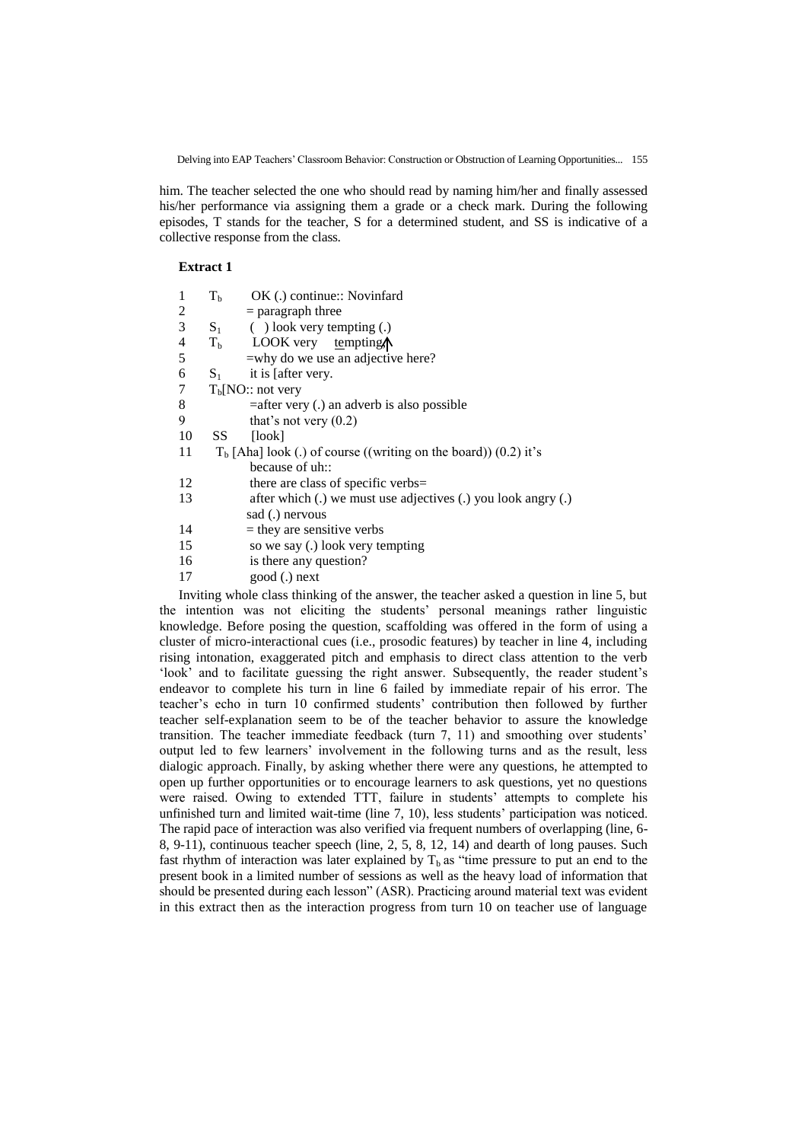him. The teacher selected the one who should read by naming him/her and finally assessed his/her performance via assigning them a grade or a check mark. During the following episodes, T stands for the teacher, S for a determined student, and SS is indicative of a collective response from the class.

### **Extract 1**

| 1  | $T_b$   | OK (.) continue:: Novinfard                                                       |
|----|---------|-----------------------------------------------------------------------------------|
| 2  |         | $=$ paragraph three                                                               |
| 3  |         | $S_1$ ( ) look very tempting (.)                                                  |
| 4  |         | $Tb$ LOOK very tempting.                                                          |
| 5  |         | =why do we use an adjective here?                                                 |
| 6  | $S_{1}$ | it is affer very.                                                                 |
| 7  |         | T <sub>b</sub> [NO:: not very]                                                    |
| 8  |         | $=$ after very (.) an adverb is also possible                                     |
| 9  |         | that's not very $(0.2)$                                                           |
| 10 | SS      | [look]                                                                            |
| 11 |         | $Tb$ [Aha] look (.) of course ((writing on the board)) (0.2) it's                 |
|    |         | because of uh::                                                                   |
| 12 |         | there are class of specific verbs=                                                |
| 13 |         | after which $(.)$ we must use adjectives $(.)$ you look angry $(.)$               |
|    |         | sad (.) nervous                                                                   |
| 14 |         | $=$ they are sensitive verbs                                                      |
| 15 |         | so we say (.) look very tempting                                                  |
| 16 |         | is there any question?                                                            |
| 17 |         | good (.) next                                                                     |
|    |         | Inviting whole class thinking of the answer, the teacher asked a question in line |

Inviting whole class thinking of the answer, the teacher asked a question in line 5, but the intention was not eliciting the students' personal meanings rather linguistic knowledge. Before posing the question, scaffolding was offered in the form of using a cluster of micro-interactional cues (i.e., prosodic features) by teacher in line 4, including rising intonation, exaggerated pitch and emphasis to direct class attention to the verb "look" and to facilitate guessing the right answer. Subsequently, the reader student"s endeavor to complete his turn in line 6 failed by immediate repair of his error. The teacher"s echo in turn 10 confirmed students" contribution then followed by further teacher self-explanation seem to be of the teacher behavior to assure the knowledge transition. The teacher immediate feedback (turn 7, 11) and smoothing over students" output led to few learners" involvement in the following turns and as the result, less dialogic approach. Finally, by asking whether there were any questions, he attempted to open up further opportunities or to encourage learners to ask questions, yet no questions were raised. Owing to extended TTT, failure in students' attempts to complete his unfinished turn and limited wait-time (line 7, 10), less students' participation was noticed. The rapid pace of interaction was also verified via frequent numbers of overlapping (line, 6- 8, 9-11), continuous teacher speech (line, 2, 5, 8, 12, 14) and dearth of long pauses. Such fast rhythm of interaction was later explained by  $T_b$  as "time pressure to put an end to the present book in a limited number of sessions as well as the heavy load of information that should be presented during each lesson" (ASR). Practicing around material text was evident in this extract then as the interaction progress from turn 10 on teacher use of language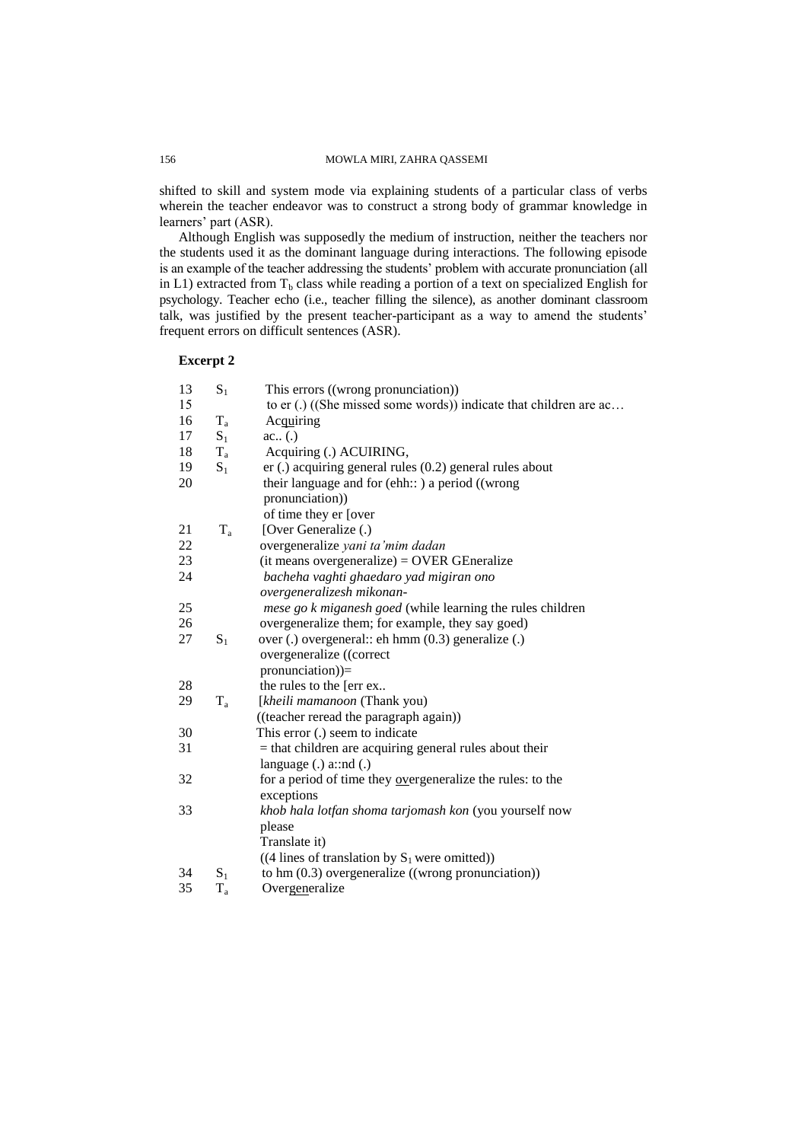shifted to skill and system mode via explaining students of a particular class of verbs wherein the teacher endeavor was to construct a strong body of grammar knowledge in learners' part (ASR).

Although English was supposedly the medium of instruction, neither the teachers nor the students used it as the dominant language during interactions. The following episode is an example of the teacher addressing the students' problem with accurate pronunciation (all in L1) extracted from  $T<sub>b</sub>$  class while reading a portion of a text on specialized English for psychology. Teacher echo (i.e., teacher filling the silence), as another dominant classroom talk, was justified by the present teacher-participant as a way to amend the students' frequent errors on difficult sentences (ASR).

## **Excerpt 2**

| 13 | $S_1$ | This errors ((wrong pronunciation))                               |
|----|-------|-------------------------------------------------------------------|
| 15 |       | to er (.) ((She missed some words)) indicate that children are ac |
| 16 | $T_a$ | Acquiring                                                         |
| 17 | $S_1$ | ac(.)                                                             |
| 18 | $T_a$ | Acquiring (.) ACUIRING,                                           |
| 19 | $S_1$ | $er(.)$ acquiring general rules $(0.2)$ general rules about       |
| 20 |       | their language and for (ehh.: ) a period ((wrong                  |
|    |       | pronunciation))                                                   |
|    |       | of time they er [over                                             |
| 21 | $T_a$ | [Over Generalize (.)                                              |
| 22 |       | overgeneralize yani ta'mim dadan                                  |
| 23 |       | $(it$ means overgeneralize $) =$ OVER GEneralize                  |
| 24 |       | bacheha vaghti ghaedaro yad migiran ono                           |
|    |       | overgeneralizesh mikonan-                                         |
| 25 |       | mese go k miganesh goed (while learning the rules children        |
| 26 |       | overgeneralize them; for example, they say goed)                  |
| 27 | $S_1$ | over (.) overgeneral:: eh hmm (0.3) generalize (.)                |
|    |       | overgeneralize ((correct                                          |
|    |       | pronunciation))=                                                  |
| 28 |       | the rules to the [err ex                                          |
| 29 | $T_a$ | [kheili mamanoon (Thank you)                                      |
|    |       | ((teacher reread the paragraph again))                            |
| 30 |       | This error (.) seem to indicate                                   |
| 31 |       | $=$ that children are acquiring general rules about their         |
|    |       | language $(.)$ a::nd $(.)$                                        |
| 32 |       | for a period of time they overgeneralize the rules: to the        |
|    |       | exceptions                                                        |
| 33 |       | khob hala lotfan shoma tarjomash kon (you yourself now            |
|    |       | please                                                            |
|    |       | Translate it)                                                     |
|    |       | $((4 \text{ lines of translation by } S_1 \text{ were omitted}))$ |
| 34 | $S_1$ | to hm $(0.3)$ overgeneralize ((wrong pronunciation))              |
| 35 | $T_a$ | Overgeneralize                                                    |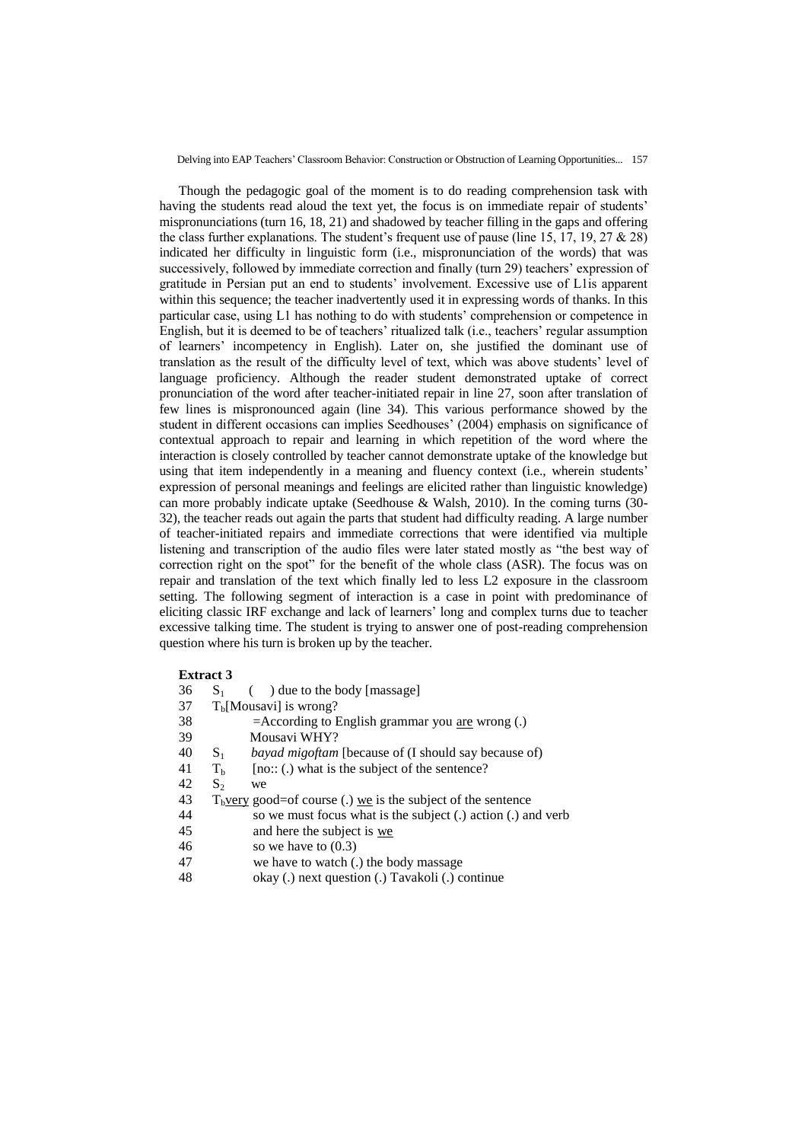Though the pedagogic goal of the moment is to do reading comprehension task with having the students read aloud the text yet, the focus is on immediate repair of students' mispronunciations (turn 16, 18, 21) and shadowed by teacher filling in the gaps and offering the class further explanations. The student's frequent use of pause (line 15, 17, 19, 27  $&$  28) indicated her difficulty in linguistic form (i.e., mispronunciation of the words) that was successively, followed by immediate correction and finally (turn 29) teachers' expression of gratitude in Persian put an end to students" involvement. Excessive use of L1is apparent within this sequence; the teacher inadvertently used it in expressing words of thanks. In this particular case, using L1 has nothing to do with students" comprehension or competence in English, but it is deemed to be of teachers' ritualized talk (i.e., teachers' regular assumption of learners" incompetency in English). Later on, she justified the dominant use of translation as the result of the difficulty level of text, which was above students" level of language proficiency. Although the reader student demonstrated uptake of correct pronunciation of the word after teacher-initiated repair in line 27, soon after translation of few lines is mispronounced again (line 34). This various performance showed by the student in different occasions can implies Seedhouses' (2004) emphasis on significance of contextual approach to repair and learning in which repetition of the word where the interaction is closely controlled by teacher cannot demonstrate uptake of the knowledge but using that item independently in a meaning and fluency context (i.e., wherein students' expression of personal meanings and feelings are elicited rather than linguistic knowledge) can more probably indicate uptake (Seedhouse & Walsh, 2010). In the coming turns (30- 32), the teacher reads out again the parts that student had difficulty reading. A large number of teacher-initiated repairs and immediate corrections that were identified via multiple listening and transcription of the audio files were later stated mostly as "the best way of correction right on the spot" for the benefit of the whole class (ASR). The focus was on repair and translation of the text which finally led to less L2 exposure in the classroom setting. The following segment of interaction is a case in point with predominance of eliciting classic IRF exchange and lack of learners" long and complex turns due to teacher excessive talking time. The student is trying to answer one of post-reading comprehension question where his turn is broken up by the teacher.

# **Extract 3**

| 36 | $S_{1}$        | $\left( \quad \right)$ due to the body [massage]                |
|----|----------------|-----------------------------------------------------------------|
| 37 |                | $Tb[Mousavi]$ is wrong?                                         |
| 38 |                | $=$ According to English grammar you are wrong (.)              |
| 39 |                | Mousavi WHY?                                                    |
| 40 | $S_1$          | <i>bayad migoftam</i> [because of (I should say because of)     |
| 41 | T <sub>b</sub> | $[no::(.)$ what is the subject of the sentence?                 |
| 42 | $S_2$          | we                                                              |
| 43 |                | $T_b$ very good=of course (.) we is the subject of the sentence |
| 44 |                | so we must focus what is the subject (.) action (.) and verb    |
| 45 |                | and here the subject is we                                      |
| 46 |                | so we have to $(0.3)$                                           |
| 47 |                | we have to watch (.) the body massage                           |
| 48 |                | okay (.) next question (.) Tavakoli (.) continue                |
|    |                |                                                                 |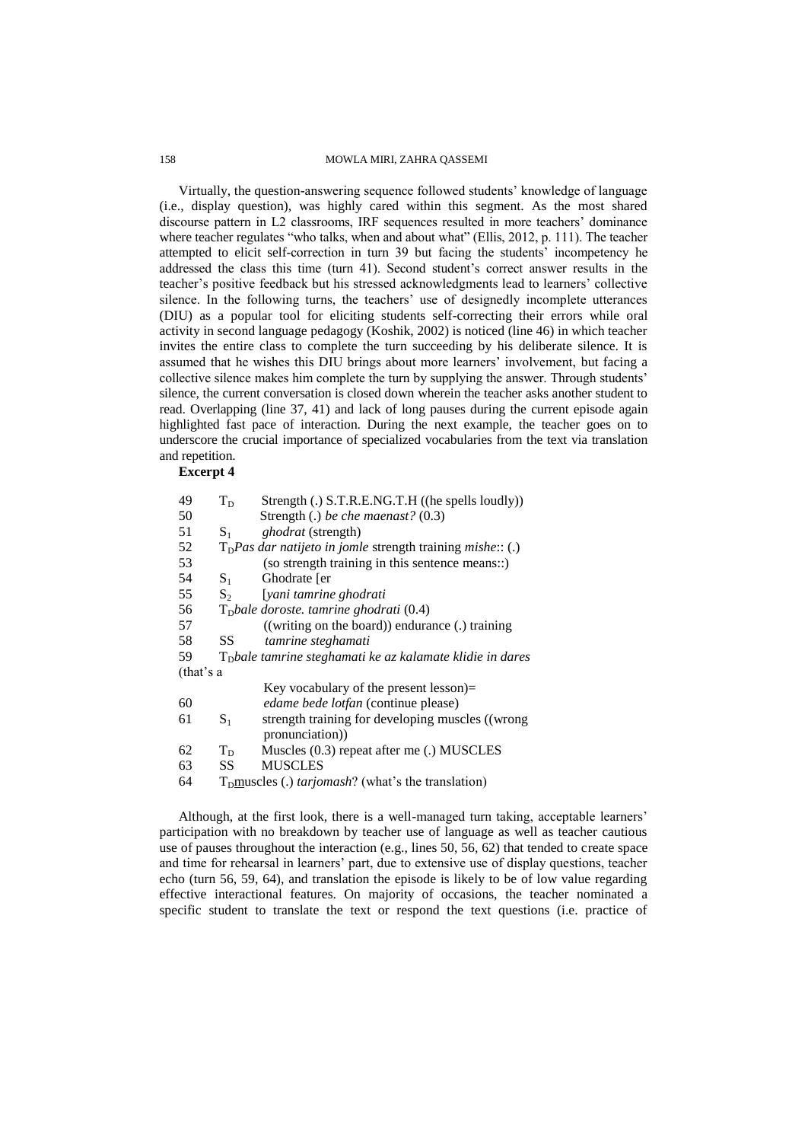### 158 MOWLA MIRI, ZAHRA QASSEMI

Virtually, the question-answering sequence followed students" knowledge of language (i.e., display question), was highly cared within this segment. As the most shared discourse pattern in L2 classrooms, IRF sequences resulted in more teachers' dominance where teacher regulates "who talks, when and about what" (Ellis, 2012, p. 111). The teacher attempted to elicit self-correction in turn 39 but facing the students' incompetency he addressed the class this time (turn 41). Second student"s correct answer results in the teacher"s positive feedback but his stressed acknowledgments lead to learners" collective silence. In the following turns, the teachers' use of designedly incomplete utterances (DIU) as a popular tool for eliciting students self-correcting their errors while oral activity in second language pedagogy (Koshik, 2002) is noticed (line 46) in which teacher invites the entire class to complete the turn succeeding by his deliberate silence. It is assumed that he wishes this DIU brings about more learners" involvement, but facing a collective silence makes him complete the turn by supplying the answer. Through students' silence, the current conversation is closed down wherein the teacher asks another student to read. Overlapping (line 37, 41) and lack of long pauses during the current episode again highlighted fast pace of interaction. During the next example, the teacher goes on to underscore the crucial importance of specialized vocabularies from the text via translation and repetition.

# **Excerpt 4**

| 49        | $T_D$   | Strength (.) S.T.R.E.NG.T.H ((he spells loudly))             |
|-----------|---------|--------------------------------------------------------------|
| 50        |         | Strength (.) be che maenast? (0.3)                           |
| 51        | $S_{1}$ | <i>ghodrat</i> (strength)                                    |
| 52        |         | $TD Pas$ dar natijeto in jomle strength training mishe:: (.) |
| 53        |         | (so strength training in this sentence means::)              |
| 54        | $S_{1}$ | Ghodrate [er                                                 |
| 55        | $S_2$   | [yani tamrine ghodrati                                       |
| 56        |         | $TD$ bale doroste. tamrine ghodrati (0.4)                    |
| 57        |         | $((writing on the board))$ endurance $(.)$ training          |
| 58        | SS      | tamrine steghamati                                           |
| 59        |         | $TD$ bale tamrine steghamati ke az kalamate klidie in dares  |
| (that's a |         |                                                              |
|           |         | Key vocabulary of the present lesson)=                       |
| 60        |         | <i>edame bede lotfan</i> (continue please)                   |
| 61        | $S_{1}$ | strength training for developing muscles ((wrong             |
|           |         | pronunciation))                                              |
| 62        | $T_D$   | Muscles $(0.3)$ repeat after me $(.)$ MUSCLES                |
| 63        | SS      | <b>MUSCLES</b>                                               |
| 64        |         | $TD$ muscles (.) <i>tarjomash</i> ? (what's the translation) |

Although, at the first look, there is a well-managed turn taking, acceptable learners' participation with no breakdown by teacher use of language as well as teacher cautious use of pauses throughout the interaction (e.g., lines 50, 56, 62) that tended to create space and time for rehearsal in learners" part, due to extensive use of display questions, teacher echo (turn 56, 59, 64), and translation the episode is likely to be of low value regarding effective interactional features. On majority of occasions, the teacher nominated a specific student to translate the text or respond the text questions (i.e. practice of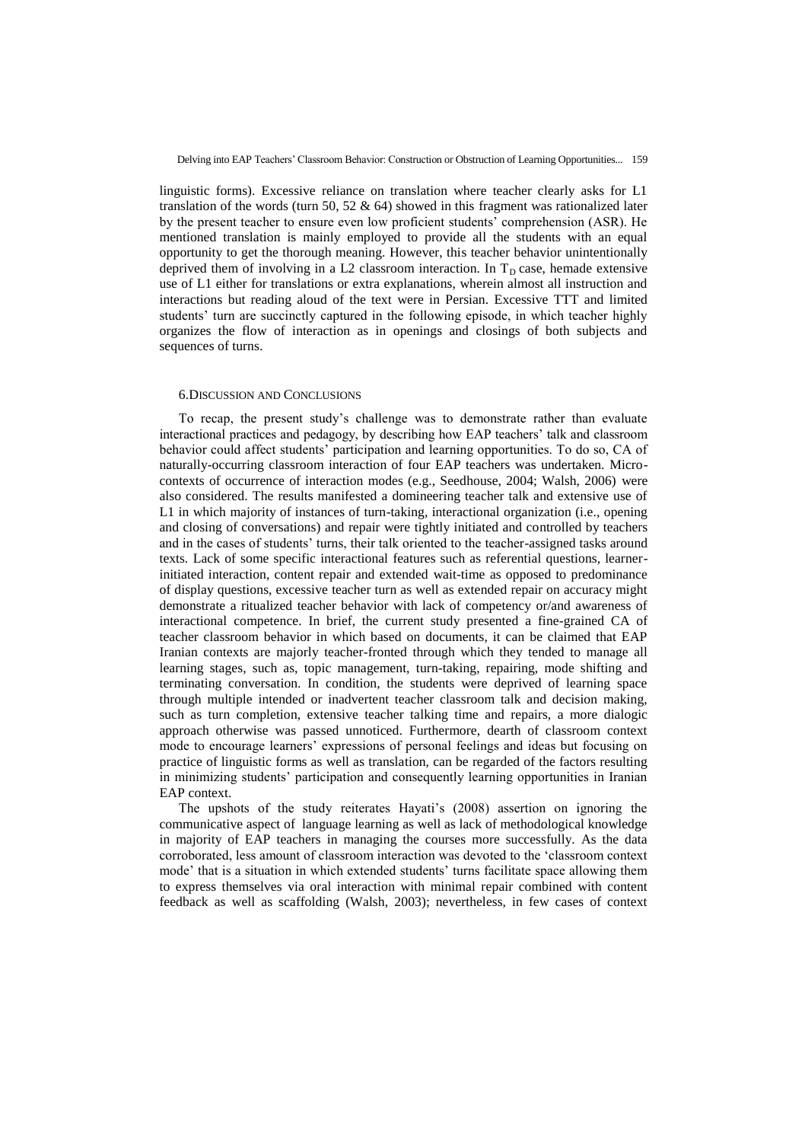linguistic forms). Excessive reliance on translation where teacher clearly asks for L1 translation of the words (turn 50, 52  $\&$  64) showed in this fragment was rationalized later by the present teacher to ensure even low proficient students" comprehension (ASR). He mentioned translation is mainly employed to provide all the students with an equal opportunity to get the thorough meaning. However, this teacher behavior unintentionally deprived them of involving in a L2 classroom interaction. In  $T_D$  case, hemade extensive use of L1 either for translations or extra explanations, wherein almost all instruction and interactions but reading aloud of the text were in Persian. Excessive TTT and limited students' turn are succinctly captured in the following episode, in which teacher highly organizes the flow of interaction as in openings and closings of both subjects and sequences of turns.

#### 6.DISCUSSION AND CONCLUSIONS

To recap, the present study"s challenge was to demonstrate rather than evaluate interactional practices and pedagogy, by describing how EAP teachers" talk and classroom behavior could affect students' participation and learning opportunities. To do so, CA of naturally-occurring classroom interaction of four EAP teachers was undertaken. Microcontexts of occurrence of interaction modes (e.g., Seedhouse, 2004; Walsh, 2006) were also considered. The results manifested a domineering teacher talk and extensive use of L1 in which majority of instances of turn-taking, interactional organization (i.e., opening and closing of conversations) and repair were tightly initiated and controlled by teachers and in the cases of students" turns, their talk oriented to the teacher-assigned tasks around texts. Lack of some specific interactional features such as referential questions, learnerinitiated interaction, content repair and extended wait-time as opposed to predominance of display questions, excessive teacher turn as well as extended repair on accuracy might demonstrate a ritualized teacher behavior with lack of competency or/and awareness of interactional competence. In brief, the current study presented a fine-grained CA of teacher classroom behavior in which based on documents, it can be claimed that EAP Iranian contexts are majorly teacher-fronted through which they tended to manage all learning stages, such as, topic management, turn-taking, repairing, mode shifting and terminating conversation. In condition, the students were deprived of learning space through multiple intended or inadvertent teacher classroom talk and decision making, such as turn completion, extensive teacher talking time and repairs, a more dialogic approach otherwise was passed unnoticed. Furthermore, dearth of classroom context mode to encourage learners" expressions of personal feelings and ideas but focusing on practice of linguistic forms as well as translation, can be regarded of the factors resulting in minimizing students' participation and consequently learning opportunities in Iranian EAP context.

The upshots of the study reiterates Hayati's (2008) assertion on ignoring the communicative aspect of language learning as well as lack of methodological knowledge in majority of EAP teachers in managing the courses more successfully. As the data corroborated, less amount of classroom interaction was devoted to the "classroom context mode" that is a situation in which extended students" turns facilitate space allowing them to express themselves via oral interaction with minimal repair combined with content feedback as well as scaffolding (Walsh, 2003); nevertheless, in few cases of context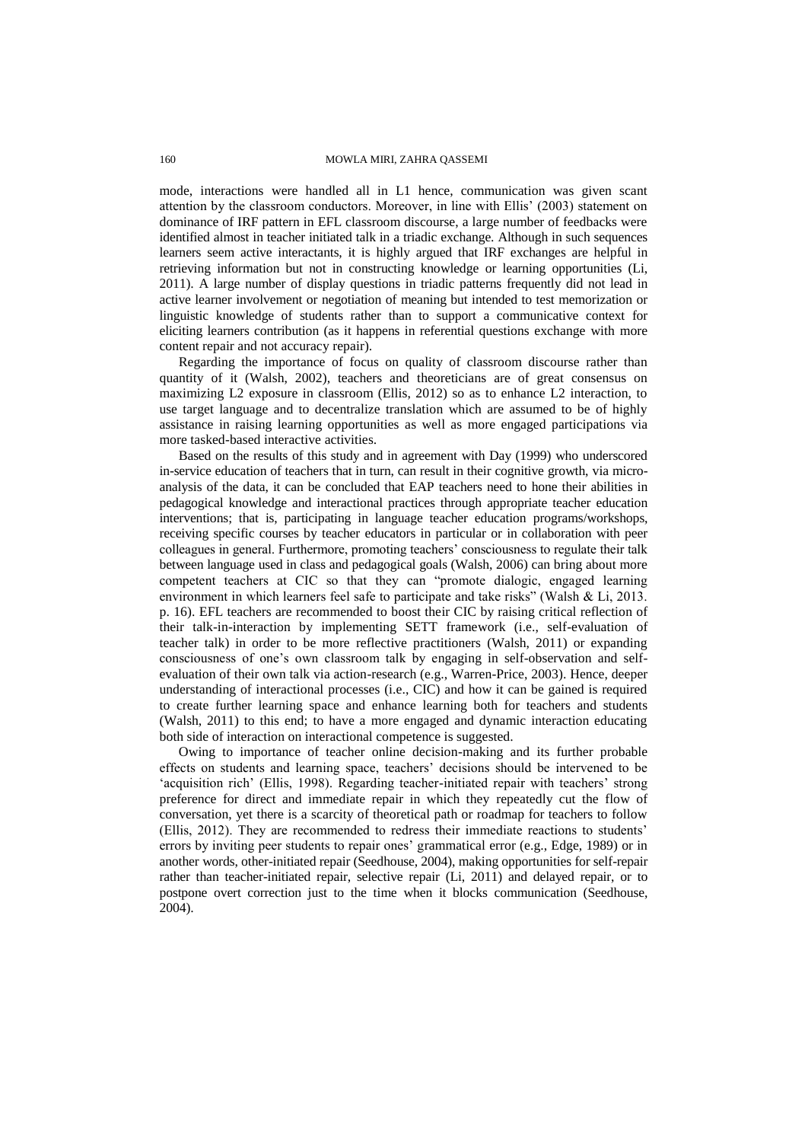mode, interactions were handled all in L1 hence, communication was given scant attention by the classroom conductors. Moreover, in line with Ellis" (2003) statement on dominance of IRF pattern in EFL classroom discourse, a large number of feedbacks were identified almost in teacher initiated talk in a triadic exchange. Although in such sequences learners seem active interactants, it is highly argued that IRF exchanges are helpful in retrieving information but not in constructing knowledge or learning opportunities (Li, 2011). A large number of display questions in triadic patterns frequently did not lead in active learner involvement or negotiation of meaning but intended to test memorization or linguistic knowledge of students rather than to support a communicative context for eliciting learners contribution (as it happens in referential questions exchange with more content repair and not accuracy repair).

Regarding the importance of focus on quality of classroom discourse rather than quantity of it (Walsh, 2002), teachers and theoreticians are of great consensus on maximizing L2 exposure in classroom (Ellis, 2012) so as to enhance L2 interaction, to use target language and to decentralize translation which are assumed to be of highly assistance in raising learning opportunities as well as more engaged participations via more tasked-based interactive activities.

Based on the results of this study and in agreement with Day (1999) who underscored in-service education of teachers that in turn, can result in their cognitive growth, via microanalysis of the data, it can be concluded that EAP teachers need to hone their abilities in pedagogical knowledge and interactional practices through appropriate teacher education interventions; that is, participating in language teacher education programs/workshops, receiving specific courses by teacher educators in particular or in collaboration with peer colleagues in general. Furthermore, promoting teachers' consciousness to regulate their talk between language used in class and pedagogical goals (Walsh, 2006) can bring about more competent teachers at CIC so that they can "promote dialogic, engaged learning environment in which learners feel safe to participate and take risks" (Walsh & Li, 2013. p. 16). EFL teachers are recommended to boost their CIC by raising critical reflection of their talk-in-interaction by implementing SETT framework (i.e., self-evaluation of teacher talk) in order to be more reflective practitioners (Walsh, 2011) or expanding consciousness of one"s own classroom talk by engaging in self-observation and selfevaluation of their own talk via action-research (e.g., Warren-Price, 2003). Hence, deeper understanding of interactional processes (i.e., CIC) and how it can be gained is required to create further learning space and enhance learning both for teachers and students (Walsh, 2011) to this end; to have a more engaged and dynamic interaction educating both side of interaction on interactional competence is suggested.

Owing to importance of teacher online decision-making and its further probable effects on students and learning space, teachers' decisions should be intervened to be "acquisition rich" (Ellis, 1998). Regarding teacher-initiated repair with teachers" strong preference for direct and immediate repair in which they repeatedly cut the flow of conversation, yet there is a scarcity of theoretical path or roadmap for teachers to follow (Ellis, 2012). They are recommended to redress their immediate reactions to students" errors by inviting peer students to repair ones" grammatical error (e.g., Edge, 1989) or in another words, other-initiated repair (Seedhouse, 2004), making opportunities for self-repair rather than teacher-initiated repair, selective repair (Li, 2011) and delayed repair, or to postpone overt correction just to the time when it blocks communication (Seedhouse, 2004).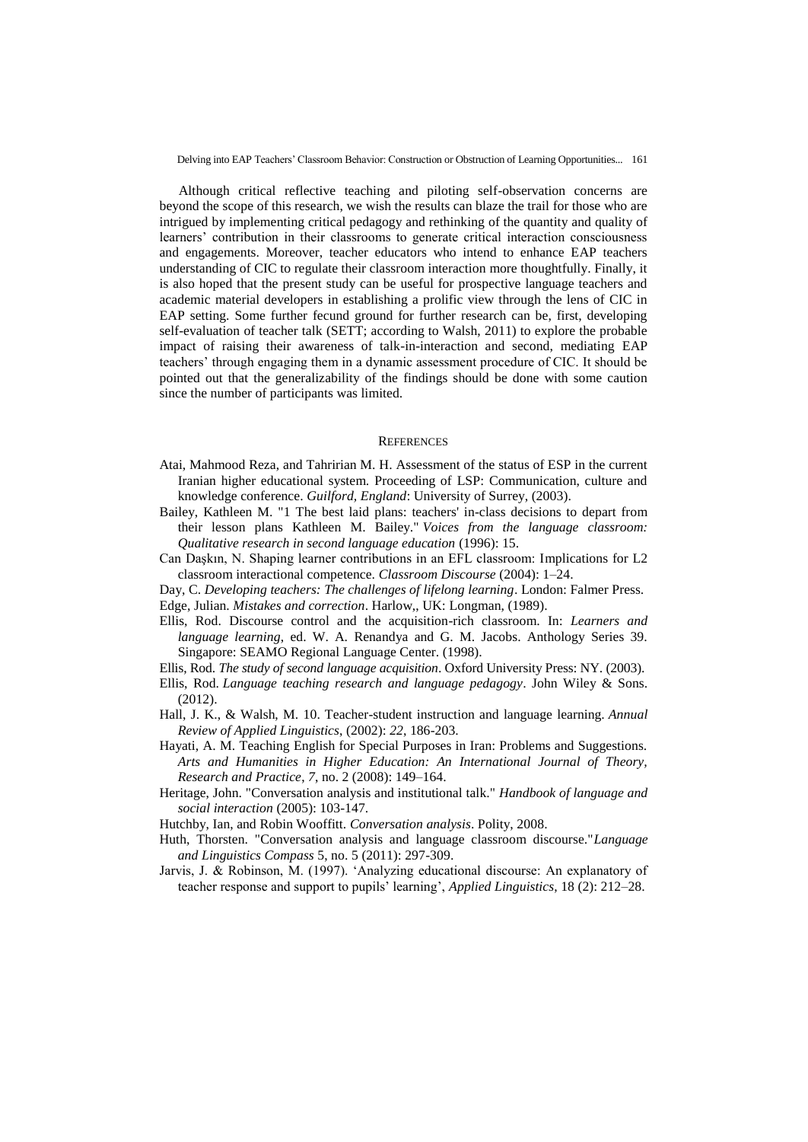Although critical reflective teaching and piloting self-observation concerns are beyond the scope of this research, we wish the results can blaze the trail for those who are intrigued by implementing critical pedagogy and rethinking of the quantity and quality of learners' contribution in their classrooms to generate critical interaction consciousness and engagements. Moreover, teacher educators who intend to enhance EAP teachers understanding of CIC to regulate their classroom interaction more thoughtfully. Finally, it is also hoped that the present study can be useful for prospective language teachers and academic material developers in establishing a prolific view through the lens of CIC in EAP setting. Some further fecund ground for further research can be, first, developing self-evaluation of teacher talk (SETT; according to Walsh, 2011) to explore the probable impact of raising their awareness of talk-in-interaction and second, mediating EAP teachers" through engaging them in a dynamic assessment procedure of CIC. It should be pointed out that the generalizability of the findings should be done with some caution since the number of participants was limited.

#### **REFERENCES**

- Atai, Mahmood Reza, and Tahririan M. H. Assessment of the status of ESP in the current Iranian higher educational system. Proceeding of LSP: Communication, culture and knowledge conference. *Guilford, England*: University of Surrey, (2003).
- Bailey, Kathleen M. "1 The best laid plans: teachers' in-class decisions to depart from their lesson plans Kathleen M. Bailey." *Voices from the language classroom: Qualitative research in second language education* (1996): 15.
- Can Daşkın, N. Shaping learner contributions in an EFL classroom: Implications for L2 classroom interactional competence. *Classroom Discourse* (2004): 1–24.

Day, C. *Developing teachers: The challenges of lifelong learning*. London: Falmer Press.

- Edge, Julian. *Mistakes and correction*. Harlow,, UK: Longman, (1989).
- Ellis, Rod. Discourse control and the acquisition-rich classroom. In: *Learners and language learning*, ed. W. A. Renandya and G. M. Jacobs. Anthology Series 39. Singapore: SEAMO Regional Language Center. (1998).
- Ellis, Rod. *The study of second language acquisition*. Oxford University Press: NY. (2003).
- Ellis, Rod. *Language teaching research and language pedagogy*. John Wiley & Sons. (2012).
- Hall, J. K., & Walsh, M. 10. Teacher-student instruction and language learning. *Annual Review of Applied Linguistics*, (2002): *22*, 186-203.
- Hayati, A. M. Teaching English for Special Purposes in Iran: Problems and Suggestions. *Arts and Humanities in Higher Education: An International Journal of Theory, Research and Practice*, *7*, no. 2 (2008): 149–164.
- Heritage, John. "Conversation analysis and institutional talk." *Handbook of language and social interaction* (2005): 103-147.
- Hutchby, Ian, and Robin Wooffitt. *Conversation analysis*. Polity, 2008.
- Huth, Thorsten. "Conversation analysis and language classroom discourse."*Language and Linguistics Compass* 5, no. 5 (2011): 297-309.
- Jarvis, J. & Robinson, M. (1997). "Analyzing educational discourse: An explanatory of teacher response and support to pupils" learning", *Applied Linguistics*, 18 (2): 212–28.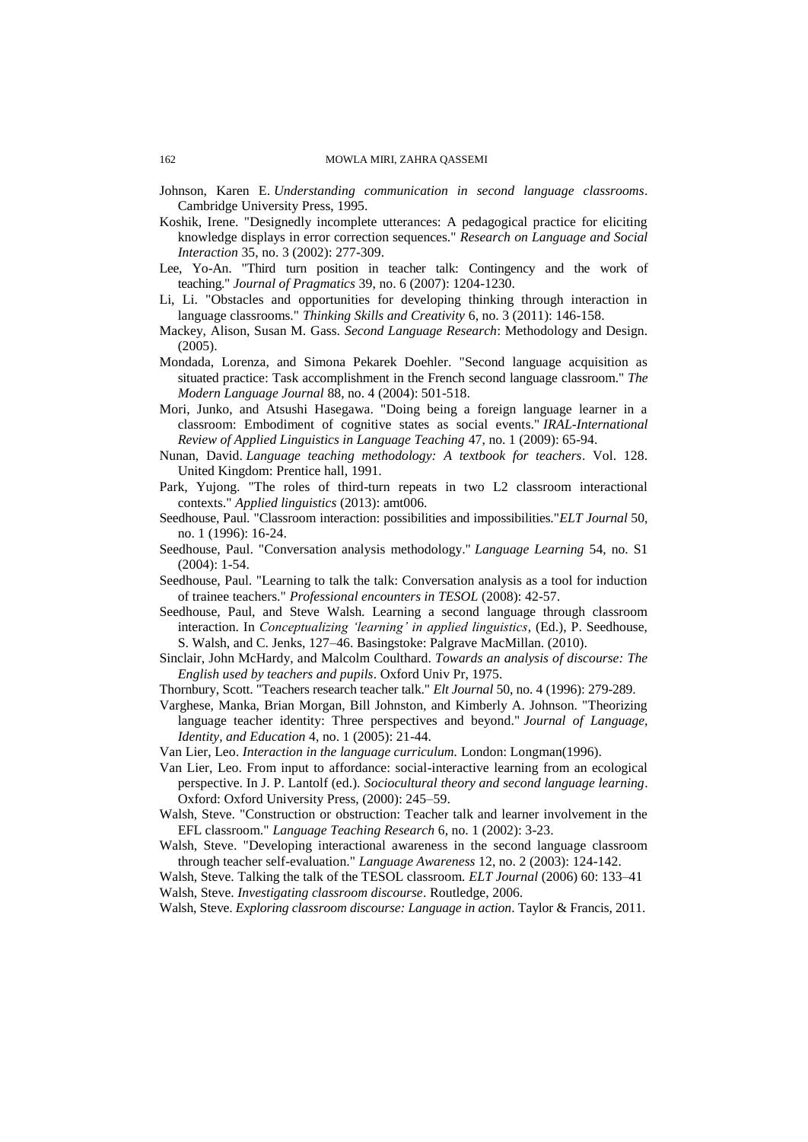- Johnson, Karen E. *Understanding communication in second language classrooms*. Cambridge University Press, 1995.
- Koshik, Irene. "Designedly incomplete utterances: A pedagogical practice for eliciting knowledge displays in error correction sequences." *Research on Language and Social Interaction* 35, no. 3 (2002): 277-309.
- Lee, Yo-An. "Third turn position in teacher talk: Contingency and the work of teaching." *Journal of Pragmatics* 39, no. 6 (2007): 1204-1230.
- Li, Li. "Obstacles and opportunities for developing thinking through interaction in language classrooms." *Thinking Skills and Creativity* 6, no. 3 (2011): 146-158.
- Mackey, Alison, Susan M. Gass. *Second Language Research*: Methodology and Design. (2005).
- Mondada, Lorenza, and Simona Pekarek Doehler. "Second language acquisition as situated practice: Task accomplishment in the French second language classroom." *The Modern Language Journal* 88, no. 4 (2004): 501-518.
- Mori, Junko, and Atsushi Hasegawa. "Doing being a foreign language learner in a classroom: Embodiment of cognitive states as social events." *IRAL-International Review of Applied Linguistics in Language Teaching* 47, no. 1 (2009): 65-94.
- Nunan, David. *Language teaching methodology: A textbook for teachers*. Vol. 128. United Kingdom: Prentice hall, 1991.
- Park, Yujong. "The roles of third-turn repeats in two L2 classroom interactional contexts." *Applied linguistics* (2013): amt006.
- Seedhouse, Paul. "Classroom interaction: possibilities and impossibilities."*ELT Journal* 50, no. 1 (1996): 16-24.
- Seedhouse, Paul. "Conversation analysis methodology." *Language Learning* 54, no. S1 (2004): 1-54.
- Seedhouse, Paul. "Learning to talk the talk: Conversation analysis as a tool for induction of trainee teachers." *Professional encounters in TESOL* (2008): 42-57.
- Seedhouse, Paul, and Steve Walsh. Learning a second language through classroom interaction. In *Conceptualizing 'learning' in applied linguistics*, (Ed.), P. Seedhouse, S. Walsh, and C. Jenks, 127–46. Basingstoke: Palgrave MacMillan. (2010).
- Sinclair, John McHardy, and Malcolm Coulthard. *Towards an analysis of discourse: The English used by teachers and pupils*. Oxford Univ Pr, 1975.
- Thornbury, Scott. "Teachers research teacher talk." *Elt Journal* 50, no. 4 (1996): 279-289.
- Varghese, Manka, Brian Morgan, Bill Johnston, and Kimberly A. Johnson. "Theorizing language teacher identity: Three perspectives and beyond." *Journal of Language, Identity, and Education* 4, no. 1 (2005): 21-44.
- Van Lier, Leo. *Interaction in the language curriculum.* London: Longman(1996).
- Van Lier, Leo. From input to affordance: social-interactive learning from an ecological perspective. In J. P. Lantolf (ed.). *Sociocultural theory and second language learning*. Oxford: Oxford University Press, (2000): 245–59.
- Walsh, Steve. "Construction or obstruction: Teacher talk and learner involvement in the EFL classroom." *Language Teaching Research* 6, no. 1 (2002): 3-23.
- Walsh, Steve. "Developing interactional awareness in the second language classroom through teacher self-evaluation." *Language Awareness* 12, no. 2 (2003): 124-142.
- Walsh, Steve. Talking the talk of the TESOL classroom. *ELT Journal* (2006) 60: 133–41 Walsh, Steve. *Investigating classroom discourse*. Routledge, 2006.

Walsh, Steve. *Exploring classroom discourse: Language in action*. Taylor & Francis, 2011.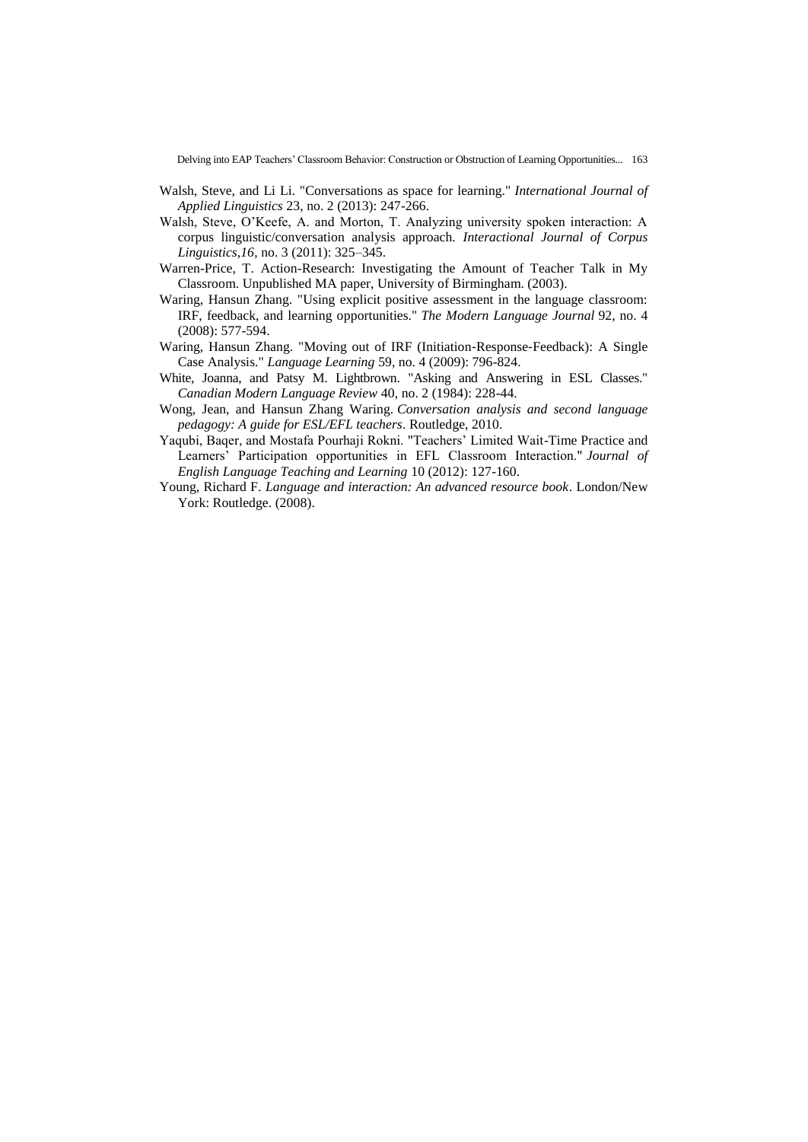- Walsh, Steve, and Li Li. "Conversations as space for learning." *International Journal of Applied Linguistics* 23, no. 2 (2013): 247-266.
- Walsh, Steve, O"Keefe, A. and Morton, T. Analyzing university spoken interaction: A corpus linguistic/conversation analysis approach. *Interactional Journal of Corpus Linguistics,16*, no. 3 (2011): 325–345.
- Warren-Price, T. Action-Research: Investigating the Amount of Teacher Talk in My Classroom. Unpublished MA paper, University of Birmingham. (2003).
- Waring, Hansun Zhang. "Using explicit positive assessment in the language classroom: IRF, feedback, and learning opportunities." *The Modern Language Journal* 92, no. 4 (2008): 577-594.
- Waring, Hansun Zhang. "Moving out of IRF (Initiation‐Response‐Feedback): A Single Case Analysis." *Language Learning* 59, no. 4 (2009): 796-824.
- White, Joanna, and Patsy M. Lightbrown. "Asking and Answering in ESL Classes." *Canadian Modern Language Review* 40, no. 2 (1984): 228-44.
- Wong, Jean, and Hansun Zhang Waring. *Conversation analysis and second language pedagogy: A guide for ESL/EFL teachers*. Routledge, 2010.
- Yaqubi, Baqer, and Mostafa Pourhaji Rokni. "Teachers" Limited Wait-Time Practice and Learners" Participation opportunities in EFL Classroom Interaction." *Journal of English Language Teaching and Learning* 10 (2012): 127-160.
- Young, Richard F. *Language and interaction: An advanced resource book*. London/New York: Routledge. (2008).